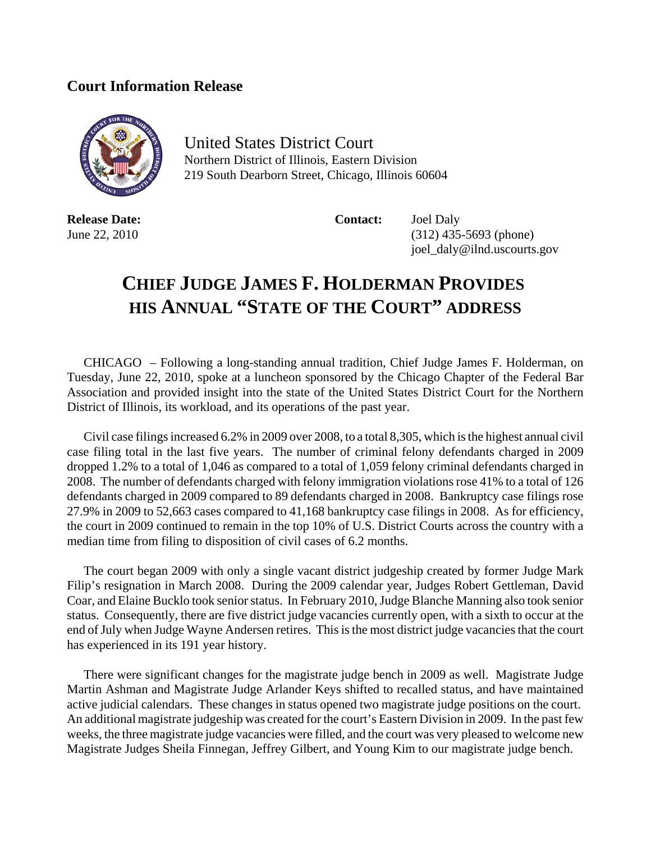## **Court Information Release**



United States District Court Northern District of Illinois, Eastern Division 219 South Dearborn Street, Chicago, Illinois 60604

**Release Date:** Contact: Joel Daly

June 22, 2010 (312) 435-5693 (phone) joel\_daly@ilnd.uscourts.gov

## **CHIEF JUDGE JAMES F. HOLDERMAN PROVIDES HIS ANNUAL "STATE OF THE COURT" ADDRESS**

CHICAGO – Following a long-standing annual tradition, Chief Judge James F. Holderman, on Tuesday, June 22, 2010, spoke at a luncheon sponsored by the Chicago Chapter of the Federal Bar Association and provided insight into the state of the United States District Court for the Northern District of Illinois, its workload, and its operations of the past year.

Civil case filings increased 6.2% in 2009 over 2008, to a total 8,305, which is the highest annual civil case filing total in the last five years. The number of criminal felony defendants charged in 2009 dropped 1.2% to a total of 1,046 as compared to a total of 1,059 felony criminal defendants charged in 2008. The number of defendants charged with felony immigration violations rose 41% to a total of 126 defendants charged in 2009 compared to 89 defendants charged in 2008. Bankruptcy case filings rose 27.9% in 2009 to 52,663 cases compared to 41,168 bankruptcy case filings in 2008. As for efficiency, the court in 2009 continued to remain in the top 10% of U.S. District Courts across the country with a median time from filing to disposition of civil cases of 6.2 months.

The court began 2009 with only a single vacant district judgeship created by former Judge Mark Filip's resignation in March 2008. During the 2009 calendar year, Judges Robert Gettleman, David Coar, and Elaine Bucklo took senior status. In February 2010, Judge Blanche Manning also took senior status. Consequently, there are five district judge vacancies currently open, with a sixth to occur at the end of July when Judge Wayne Andersen retires. This is the most district judge vacancies that the court has experienced in its 191 year history.

There were significant changes for the magistrate judge bench in 2009 as well. Magistrate Judge Martin Ashman and Magistrate Judge Arlander Keys shifted to recalled status, and have maintained active judicial calendars. These changes in status opened two magistrate judge positions on the court. An additional magistrate judgeship was created for the court's Eastern Division in 2009. In the past few weeks, the three magistrate judge vacancies were filled, and the court was very pleased to welcome new Magistrate Judges Sheila Finnegan, Jeffrey Gilbert, and Young Kim to our magistrate judge bench.